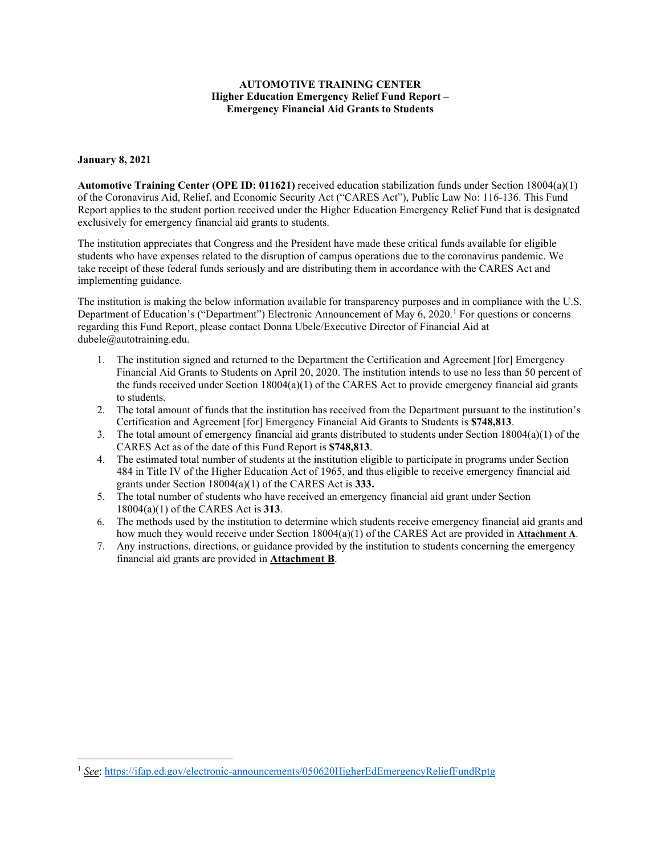## **AUTOMOTIVE TRAINING CENTER Higher Education Emergency Relief Fund Report – Emergency Financial Aid Grants to Students**

## **January 8, 2021**

**Automotive Training Center (OPE ID: 011621)** received education stabilization funds under Section 18004(a)(1) of the Coronavirus Aid, Relief, and Economic Security Act ("CARES Act"), Public Law No: 116-136. This Fund Report applies to the student portion received under the Higher Education Emergency Relief Fund that is designated exclusively for emergency financial aid grants to students.

The institution appreciates that Congress and the President have made these critical funds available for eligible students who have expenses related to the disruption of campus operations due to the coronavirus pandemic. We take receipt of these federal funds seriously and are distributing them in accordance with the CARES Act and implementing guidance.

The institution is making the below information available for transparency purposes and in compliance with the U.S. Department of Education's ("Department") Electronic Announcement of May 6, 2020.<sup>[1](#page-0-0)</sup> For questions or concerns regarding this Fund Report, please contact Donna Ubele/Executive Director of Financial Aid at dubele@autotraining.edu.

- 1. The institution signed and returned to the Department the Certification and Agreement [for] Emergency Financial Aid Grants to Students on April 20, 2020. The institution intends to use no less than 50 percent of the funds received under Section  $18004(a)(1)$  of the CARES Act to provide emergency financial aid grants to students.
- 2. The total amount of funds that the institution has received from the Department pursuant to the institution's Certification and Agreement [for] Emergency Financial Aid Grants to Students is **\$748,813**.
- 3. The total amount of emergency financial aid grants distributed to students under Section  $18004(a)(1)$  of the CARES Act as of the date of this Fund Report is **\$748,813**.
- 4. The estimated total number of students at the institution eligible to participate in programs under Section 484 in Title IV of the Higher Education Act of 1965, and thus eligible to receive emergency financial aid grants under Section 18004(a)(1) of the CARES Act is **333.**
- 5. The total number of students who have received an emergency financial aid grant under Section 18004(a)(1) of the CARES Act is **313**.
- 6. The methods used by the institution to determine which students receive emergency financial aid grants and how much they would receive under Section 18004(a)(1) of the CARES Act are provided in **Attachment A**.
- 7. Any instructions, directions, or guidance provided by the institution to students concerning the emergency financial aid grants are provided in **Attachment B**.

<span id="page-0-0"></span><sup>1</sup> *See*:<https://ifap.ed.gov/electronic-announcements/050620HigherEdEmergencyReliefFundRptg>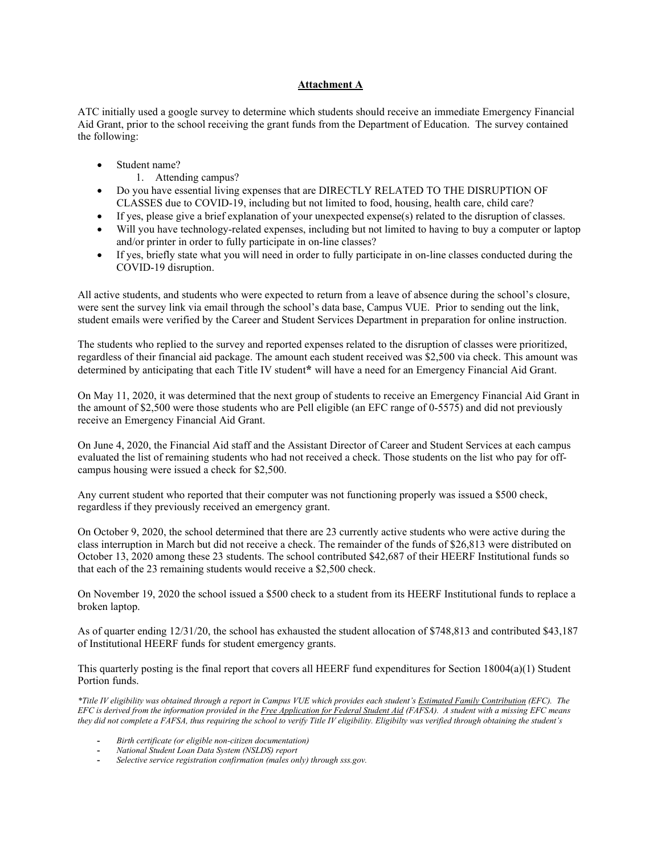## **Attachment A**

ATC initially used a google survey to determine which students should receive an immediate Emergency Financial Aid Grant, prior to the school receiving the grant funds from the Department of Education. The survey contained the following:

- Student name?
	- 1. Attending campus?
- Do you have essential living expenses that are DIRECTLY RELATED TO THE DISRUPTION OF CLASSES due to COVID-19, including but not limited to food, housing, health care, child care?
- If yes, please give a brief explanation of your unexpected expense(s) related to the disruption of classes.
- Will you have technology-related expenses, including but not limited to having to buy a computer or laptop and/or printer in order to fully participate in on-line classes?
- If yes, briefly state what you will need in order to fully participate in on-line classes conducted during the COVID-19 disruption.

All active students, and students who were expected to return from a leave of absence during the school's closure, were sent the survey link via email through the school's data base, Campus VUE. Prior to sending out the link, student emails were verified by the Career and Student Services Department in preparation for online instruction.

The students who replied to the survey and reported expenses related to the disruption of classes were prioritized, regardless of their financial aid package. The amount each student received was \$2,500 via check. This amount was determined by anticipating that each Title IV student**\*** will have a need for an Emergency Financial Aid Grant.

On May 11, 2020, it was determined that the next group of students to receive an Emergency Financial Aid Grant in the amount of \$2,500 were those students who are Pell eligible (an EFC range of 0-5575) and did not previously receive an Emergency Financial Aid Grant.

On June 4, 2020, the Financial Aid staff and the Assistant Director of Career and Student Services at each campus evaluated the list of remaining students who had not received a check. Those students on the list who pay for offcampus housing were issued a check for \$2,500.

Any current student who reported that their computer was not functioning properly was issued a \$500 check, regardless if they previously received an emergency grant.

On October 9, 2020, the school determined that there are 23 currently active students who were active during the class interruption in March but did not receive a check. The remainder of the funds of \$26,813 were distributed on October 13, 2020 among these 23 students. The school contributed \$42,687 of their HEERF Institutional funds so that each of the 23 remaining students would receive a \$2,500 check.

On November 19, 2020 the school issued a \$500 check to a student from its HEERF Institutional funds to replace a broken laptop.

As of quarter ending 12/31/20, the school has exhausted the student allocation of \$748,813 and contributed \$43,187 of Institutional HEERF funds for student emergency grants.

This quarterly posting is the final report that covers all HEERF fund expenditures for Section 18004(a)(1) Student Portion funds.

*\*Title IV eligibility was obtained through a report in Campus VUE which provides each student's Estimated Family Contribution (EFC). The EFC is derived from the information provided in the Free Application for Federal Student Aid (FAFSA). A student with a missing EFC means they did not complete a FAFSA, thus requiring the school to verify Title IV eligibility. Eligibilty was verified through obtaining the student's*

- **-** *Birth certificate (or eligible non-citizen documentation)*
- **-** *National Student Loan Data System (NSLDS) report*
- **-** *Selective service registration confirmation (males only) through sss.gov.*